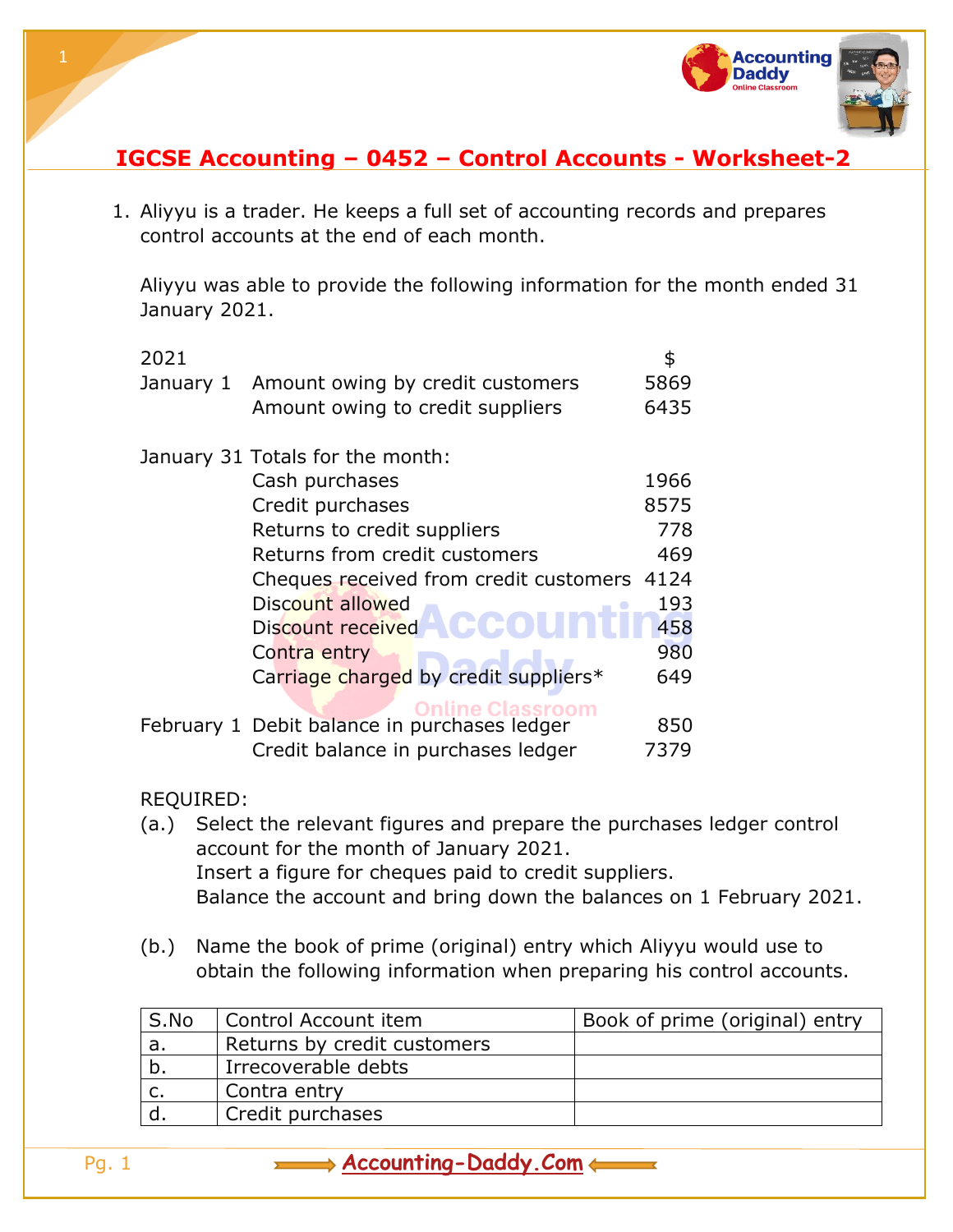

## **IGCSE Accounting – 0452 – Control Accounts - Worksheet-2**

1. Aliyyu is a trader. He keeps a full set of accounting records and prepares control accounts at the end of each month.

Aliyyu was able to provide the following information for the month ended 31 January 2021.

|                                                                              | 2021      |                                                                       | \$                             |
|------------------------------------------------------------------------------|-----------|-----------------------------------------------------------------------|--------------------------------|
|                                                                              | January 1 | Amount owing by credit customers                                      | 5869                           |
|                                                                              |           | Amount owing to credit suppliers                                      | 6435                           |
|                                                                              |           | January 31 Totals for the month:                                      |                                |
|                                                                              |           | Cash purchases                                                        | 1966                           |
|                                                                              |           | Credit purchases                                                      | 8575                           |
|                                                                              |           | Returns to credit suppliers                                           | 778                            |
|                                                                              |           | Returns from credit customers                                         | 469                            |
|                                                                              |           | Cheques received from credit customers 4124                           |                                |
|                                                                              |           | Discount allowed                                                      | 193                            |
|                                                                              |           | Discount received                                                     | 458                            |
|                                                                              |           | Contra entry                                                          | 980                            |
|                                                                              |           | Carriage charged by credit suppliers*                                 | 649                            |
|                                                                              |           | <b>Online Classroom</b>                                               |                                |
|                                                                              |           | February 1 Debit balance in purchases ledger                          | 850                            |
|                                                                              |           | Credit balance in purchases ledger                                    | 7379                           |
|                                                                              |           |                                                                       |                                |
|                                                                              | REQUIRED: |                                                                       |                                |
| Select the relevant figures and prepare the purchases ledger control<br>(a.) |           |                                                                       |                                |
|                                                                              |           | account for the month of January 2021.                                |                                |
| Insert a figure for cheques paid to credit suppliers.                        |           |                                                                       |                                |
|                                                                              |           | Balance the account and bring down the balances on 1 February 2021.   |                                |
|                                                                              | (b.)      | Name the book of prime (original) entry which Aliyyu would use to     |                                |
|                                                                              |           | obtain the following information when preparing his control accounts. |                                |
|                                                                              |           |                                                                       |                                |
|                                                                              | S.No      | Control Account item                                                  | Book of prime (original) entry |
|                                                                              | a.        | Returns by credit customers                                           |                                |
|                                                                              | b.        | Irrecoverable debts                                                   |                                |

c.  $\vert$  Contra entry d. Credit purchases